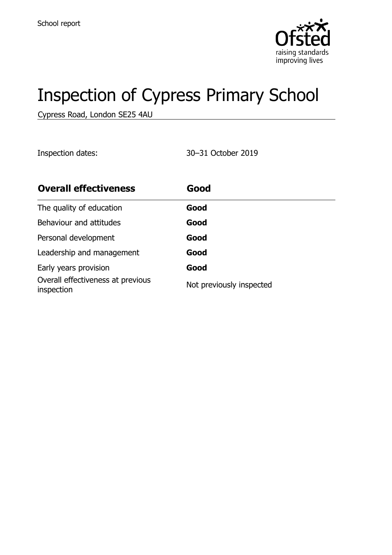

# Inspection of Cypress Primary School

Cypress Road, London SE25 4AU

Inspection dates: 30–31 October 2019

| <b>Overall effectiveness</b>                    | Good                     |
|-------------------------------------------------|--------------------------|
| The quality of education                        | Good                     |
| Behaviour and attitudes                         | Good                     |
| Personal development                            | Good                     |
| Leadership and management                       | Good                     |
| Early years provision                           | Good                     |
| Overall effectiveness at previous<br>inspection | Not previously inspected |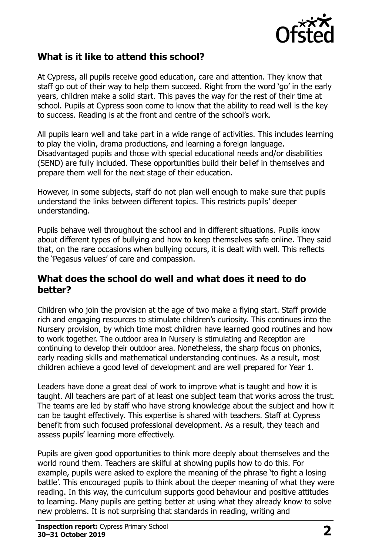

#### **What is it like to attend this school?**

At Cypress, all pupils receive good education, care and attention. They know that staff go out of their way to help them succeed. Right from the word 'go' in the early years, children make a solid start. This paves the way for the rest of their time at school. Pupils at Cypress soon come to know that the ability to read well is the key to success. Reading is at the front and centre of the school's work.

All pupils learn well and take part in a wide range of activities. This includes learning to play the violin, drama productions, and learning a foreign language. Disadvantaged pupils and those with special educational needs and/or disabilities (SEND) are fully included. These opportunities build their belief in themselves and prepare them well for the next stage of their education.

However, in some subjects, staff do not plan well enough to make sure that pupils understand the links between different topics. This restricts pupils' deeper understanding.

Pupils behave well throughout the school and in different situations. Pupils know about different types of bullying and how to keep themselves safe online. They said that, on the rare occasions when bullying occurs, it is dealt with well. This reflects the 'Pegasus values' of care and compassion.

#### **What does the school do well and what does it need to do better?**

Children who join the provision at the age of two make a flying start. Staff provide rich and engaging resources to stimulate children's curiosity. This continues into the Nursery provision, by which time most children have learned good routines and how to work together. The outdoor area in Nursery is stimulating and Reception are continuing to develop their outdoor area. Nonetheless, the sharp focus on phonics, early reading skills and mathematical understanding continues. As a result, most children achieve a good level of development and are well prepared for Year 1.

Leaders have done a great deal of work to improve what is taught and how it is taught. All teachers are part of at least one subject team that works across the trust. The teams are led by staff who have strong knowledge about the subject and how it can be taught effectively. This expertise is shared with teachers. Staff at Cypress benefit from such focused professional development. As a result, they teach and assess pupils' learning more effectively.

Pupils are given good opportunities to think more deeply about themselves and the world round them. Teachers are skilful at showing pupils how to do this. For example, pupils were asked to explore the meaning of the phrase 'to fight a losing battle'. This encouraged pupils to think about the deeper meaning of what they were reading. In this way, the curriculum supports good behaviour and positive attitudes to learning. Many pupils are getting better at using what they already know to solve new problems. It is not surprising that standards in reading, writing and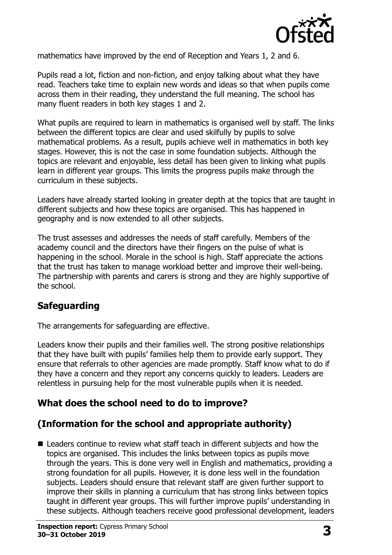

mathematics have improved by the end of Reception and Years 1, 2 and 6.

Pupils read a lot, fiction and non-fiction, and enjoy talking about what they have read. Teachers take time to explain new words and ideas so that when pupils come across them in their reading, they understand the full meaning. The school has many fluent readers in both key stages 1 and 2.

What pupils are required to learn in mathematics is organised well by staff. The links between the different topics are clear and used skilfully by pupils to solve mathematical problems. As a result, pupils achieve well in mathematics in both key stages. However, this is not the case in some foundation subjects. Although the topics are relevant and enjoyable, less detail has been given to linking what pupils learn in different year groups. This limits the progress pupils make through the curriculum in these subjects.

Leaders have already started looking in greater depth at the topics that are taught in different subjects and how these topics are organised. This has happened in geography and is now extended to all other subjects.

The trust assesses and addresses the needs of staff carefully. Members of the academy council and the directors have their fingers on the pulse of what is happening in the school. Morale in the school is high. Staff appreciate the actions that the trust has taken to manage workload better and improve their well-being. The partnership with parents and carers is strong and they are highly supportive of the school.

## **Safeguarding**

The arrangements for safeguarding are effective.

Leaders know their pupils and their families well. The strong positive relationships that they have built with pupils' families help them to provide early support. They ensure that referrals to other agencies are made promptly. Staff know what to do if they have a concern and they report any concerns quickly to leaders. Leaders are relentless in pursuing help for the most vulnerable pupils when it is needed.

## **What does the school need to do to improve?**

## **(Information for the school and appropriate authority)**

■ Leaders continue to review what staff teach in different subjects and how the topics are organised. This includes the links between topics as pupils move through the years. This is done very well in English and mathematics, providing a strong foundation for all pupils. However, it is done less well in the foundation subjects. Leaders should ensure that relevant staff are given further support to improve their skills in planning a curriculum that has strong links between topics taught in different year groups. This will further improve pupils' understanding in these subjects. Although teachers receive good professional development, leaders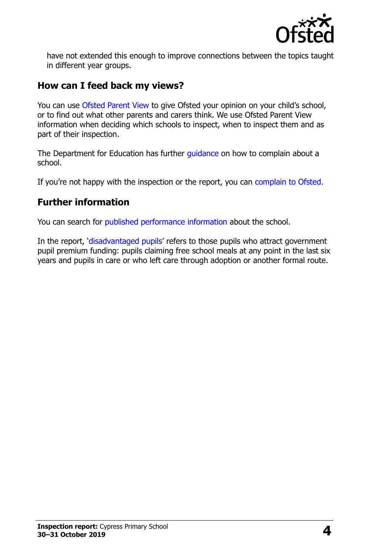

have not extended this enough to improve connections between the topics taught in different year groups.

#### **How can I feed back my views?**

You can use [Ofsted Parent View](http://parentview.ofsted.gov.uk/) to give Ofsted your opinion on your child's school, or to find out what other parents and carers think. We use Ofsted Parent View information when deciding which schools to inspect, when to inspect them and as part of their inspection.

The Department for Education has further quidance on how to complain about a school.

If you're not happy with the inspection or the report, you can [complain to Ofsted.](http://www.gov.uk/complain-ofsted-report)

## **Further information**

You can search for [published performance information](http://www.compare-school-performance.service.gov.uk/) about the school.

In the report, '[disadvantaged pupils](http://www.gov.uk/guidance/pupil-premium-information-for-schools-and-alternative-provision-settings)' refers to those pupils who attract government pupil premium funding: pupils claiming free school meals at any point in the last six years and pupils in care or who left care through adoption or another formal route.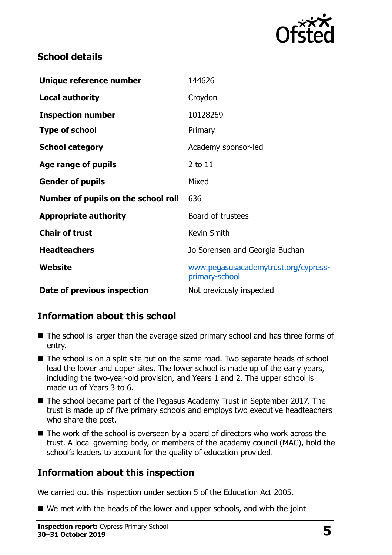

### **School details**

| Unique reference number             | 144626                                                 |
|-------------------------------------|--------------------------------------------------------|
| <b>Local authority</b>              | Croydon                                                |
| <b>Inspection number</b>            | 10128269                                               |
| <b>Type of school</b>               | Primary                                                |
| <b>School category</b>              | Academy sponsor-led                                    |
| Age range of pupils                 | 2 to 11                                                |
| <b>Gender of pupils</b>             | Mixed                                                  |
| Number of pupils on the school roll | 636                                                    |
| <b>Appropriate authority</b>        | Board of trustees                                      |
| <b>Chair of trust</b>               | Kevin Smith                                            |
| <b>Headteachers</b>                 | Jo Sorensen and Georgia Buchan                         |
| Website                             | www.pegasusacademytrust.org/cypress-<br>primary-school |
| Date of previous inspection         | Not previously inspected                               |

## **Information about this school**

- The school is larger than the average-sized primary school and has three forms of entry.
- The school is on a split site but on the same road. Two separate heads of school lead the lower and upper sites. The lower school is made up of the early years, including the two-year-old provision, and Years 1 and 2. The upper school is made up of Years 3 to 6.
- The school became part of the Pegasus Academy Trust in September 2017. The trust is made up of five primary schools and employs two executive headteachers who share the post.
- The work of the school is overseen by a board of directors who work across the trust. A local governing body, or members of the academy council (MAC), hold the school's leaders to account for the quality of education provided.

## **Information about this inspection**

We carried out this inspection under section 5 of the Education Act 2005.

■ We met with the heads of the lower and upper schools, and with the joint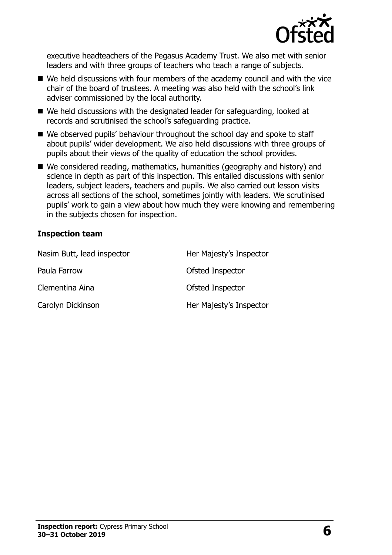

executive headteachers of the Pegasus Academy Trust. We also met with senior leaders and with three groups of teachers who teach a range of subjects.

- We held discussions with four members of the academy council and with the vice chair of the board of trustees. A meeting was also held with the school's link adviser commissioned by the local authority.
- We held discussions with the designated leader for safeguarding, looked at records and scrutinised the school's safeguarding practice.
- We observed pupils' behaviour throughout the school day and spoke to staff about pupils' wider development. We also held discussions with three groups of pupils about their views of the quality of education the school provides.
- We considered reading, mathematics, humanities (geography and history) and science in depth as part of this inspection. This entailed discussions with senior leaders, subject leaders, teachers and pupils. We also carried out lesson visits across all sections of the school, sometimes jointly with leaders. We scrutinised pupils' work to gain a view about how much they were knowing and remembering in the subjects chosen for inspection.

#### **Inspection team**

| Nasim Butt, lead inspector | Her Majesty's Inspector |
|----------------------------|-------------------------|
| Paula Farrow               | Ofsted Inspector        |
| Clementina Aina            | Ofsted Inspector        |
| Carolyn Dickinson          | Her Majesty's Inspector |